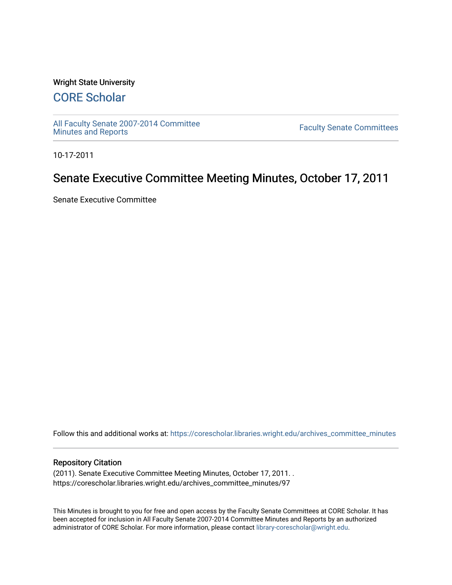#### Wright State University

# [CORE Scholar](https://corescholar.libraries.wright.edu/)

[All Faculty Senate 2007-2014 Committee](https://corescholar.libraries.wright.edu/archives_committee_minutes)

**Faculty Senate Committees** 

10-17-2011

# Senate Executive Committee Meeting Minutes, October 17, 2011

Senate Executive Committee

Follow this and additional works at: [https://corescholar.libraries.wright.edu/archives\\_committee\\_minutes](https://corescholar.libraries.wright.edu/archives_committee_minutes?utm_source=corescholar.libraries.wright.edu%2Farchives_committee_minutes%2F97&utm_medium=PDF&utm_campaign=PDFCoverPages) 

#### Repository Citation

(2011). Senate Executive Committee Meeting Minutes, October 17, 2011. . https://corescholar.libraries.wright.edu/archives\_committee\_minutes/97

This Minutes is brought to you for free and open access by the Faculty Senate Committees at CORE Scholar. It has been accepted for inclusion in All Faculty Senate 2007-2014 Committee Minutes and Reports by an authorized administrator of CORE Scholar. For more information, please contact [library-corescholar@wright.edu.](mailto:library-corescholar@wright.edu)